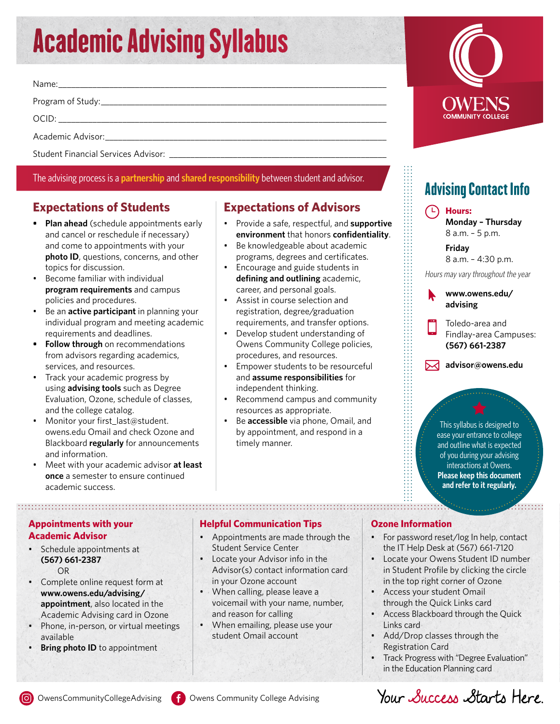# Academic Advising Syllabus

Name:\_\_\_\_\_\_\_\_\_\_\_\_\_\_\_\_\_\_\_\_\_\_\_\_\_\_\_\_\_\_\_\_\_\_\_\_\_\_\_\_\_\_\_\_\_\_\_\_\_\_\_\_\_\_\_\_\_\_\_\_\_\_\_\_\_\_\_\_\_\_\_\_\_\_\_\_\_

Program of Study:\_\_\_\_\_\_\_\_\_\_\_\_\_\_\_\_\_\_\_\_\_\_\_\_\_\_\_\_\_\_\_\_\_\_\_\_\_\_\_\_\_\_\_\_\_\_\_\_\_\_\_\_\_\_\_\_\_\_\_\_\_\_\_\_\_\_\_

OCID: \_\_\_\_\_\_\_\_\_\_\_\_\_\_\_\_\_\_\_\_\_\_\_\_\_\_\_\_\_\_\_\_\_\_\_\_\_\_\_\_\_\_\_\_\_\_\_\_\_\_\_\_\_\_\_\_\_\_\_\_\_\_\_\_\_\_\_\_\_\_\_\_\_\_\_\_\_

Academic Advisor:\_\_\_\_

Student Financial Services Advisor: \_\_\_\_\_\_\_\_\_\_\_

# The advising process is a **partnership** and **shared responsibility** between student and advisor.

# **Expectations of Students**

- **• Plan ahead** (schedule appointments early and cancel or reschedule if necessary) and come to appointments with your **photo ID**, questions, concerns, and other topics for discussion.
- Become familiar with individual **program requirements** and campus policies and procedures.
- Be an **active participant** in planning your individual program and meeting academic requirements and deadlines.
- **• Follow through** on recommendations from advisors regarding academics, services, and resources.
- Track your academic progress by using **advising tools** such as Degree Evaluation, Ozone, schedule of classes, and the college catalog.
- Monitor your first\_last@student. owens.edu Omail and check Ozone and Blackboard **regularly** for announcements and information.
- Meet with your academic advisor **at least once** a semester to ensure continued academic success.

# **Expectations of Advisors**

- Provide a safe, respectful, and **supportive environment** that honors **confidentiality**.
- Be knowledgeable about academic programs, degrees and certificates.
- Encourage and guide students in **defining and outlining** academic, career, and personal goals.
- Assist in course selection and registration, degree/graduation requirements, and transfer options.
- Develop student understanding of Owens Community College policies, procedures, and resources.
- Empower students to be resourceful and **assume responsibilities** for independent thinking.
- Recommend campus and community resources as appropriate.
- Be **accessible** via phone, Omail, and by appointment, and respond in a timely manner.

# **COMMUNITY COLLEC**

# Advising Contact Info

### **Hours: Monday – Thursday** 8 a.m. – 5 p.m.

 **Friday**

8 a.m. – 4:30 p.m.

Hours may vary throughout the year

### **[www.owens.edu/](http://www.owens.edu/advising) [advising](http://www.owens.edu/advising)**

Toledo-area and Findlay-area Campuses:  **(567) 661-2387**

 $\sqrt{\sqrt{2}}$  advisor@owens.edu

This syllabus is designed to ease your entrance to college and outline what is expected of you during your advising interactions at Owens. **Please keep this document and refer to it regularly.** 

 $\frac{1}{1}$ 

# **Appointments with your Academic Advisor**

- Schedule appointments at **(567) 661-2387** OR
- Complete online request form at **www.owens.edu/advising/ appointment**, also located in the Academic Advising card in Ozone
- Phone, in-person, or virtual meetings available
- **Bring photo ID** to appointment

## **Helpful Communication Tips**

- Appointments are made through the Student Service Center
- Locate your Advisor info in the Advisor(s) contact information card in your Ozone account
- When calling, please leave a voicemail with your name, number, and reason for calling
- When emailing, please use your student Omail account

# **Ozone Information**

- For password reset/log In help, contact the IT Help Desk at (567) 661-7120
- Locate your Owens Student ID number in Student Profile by clicking the circle in the top right corner of Ozone
- Access your student Omail through the Quick Links card
- Access Blackboard through the Quick Links card
- Add/Drop classes through the Registration Card
- Track Progress with "Degree Evaluation" in the Education Planning card

Your Success Starts Here.